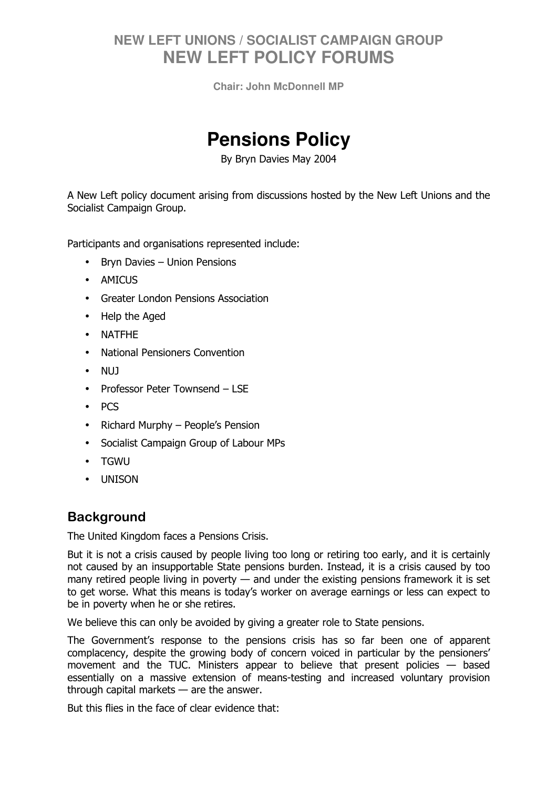**Chair: John McDonnell MP** 

# **Pensions Policy**

By Bryn Davies May 2004

A New Left policy document arising from discussions hosted by the New Left Unions and the Socialist Campaign Group.

Participants and organisations represented include:

- Bryn Davies Union Pensions
- AMICUS
- Greater London Pensions Association
- Help the Aged
- NATFHE
- National Pensioners Convention
- NUJ
- Professor Peter Townsend LSE
- PCS
- Richard Murphy People's Pension
- Socialist Campaign Group of Labour MPs
- TGWU
- UNISON

### **Background**

The United Kingdom faces a Pensions Crisis.

But it is not a crisis caused by people living too long or retiring too early, and it is certainly not caused by an insupportable State pensions burden. Instead, it is a crisis caused by too many retired people living in poverty — and under the existing pensions framework it is set to get worse. What this means is today's worker on average earnings or less can expect to be in poverty when he or she retires.

We believe this can only be avoided by giving a greater role to State pensions.

The Government's response to the pensions crisis has so far been one of apparent complacency, despite the growing body of concern voiced in particular by the pensioners' movement and the TUC. Ministers appear to believe that present policies — based essentially on a massive extension of means-testing and increased voluntary provision through capital markets — are the answer.

But this flies in the face of clear evidence that: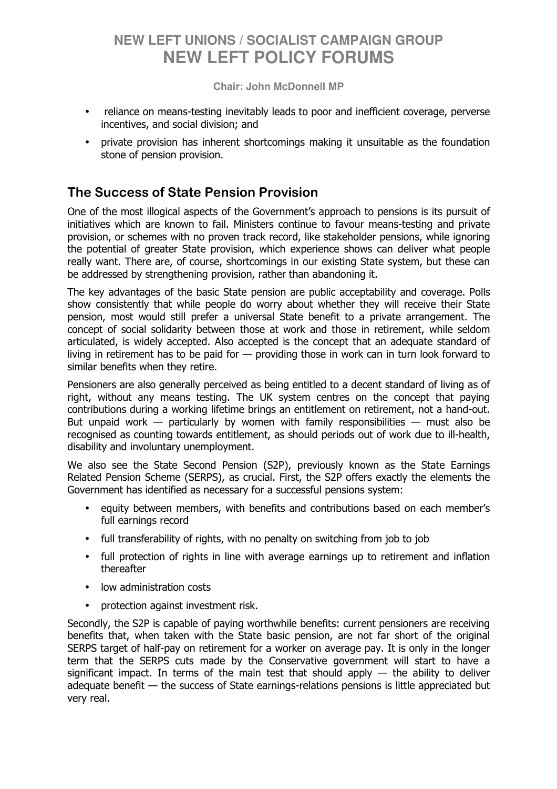**Chair: John McDonnell MP** 

- reliance on means-testing inevitably leads to poor and inefficient coverage, perverse incentives, and social division; and
- private provision has inherent shortcomings making it unsuitable as the foundation stone of pension provision.

### The Success of State Pension Provision

One of the most illogical aspects of the Government's approach to pensions is its pursuit of initiatives which are known to fail. Ministers continue to favour means-testing and private provision, or schemes with no proven track record, like stakeholder pensions, while ignoring the potential of greater State provision, which experience shows can deliver what people really want. There are, of course, shortcomings in our existing State system, but these can be addressed by strengthening provision, rather than abandoning it.

The key advantages of the basic State pension are public acceptability and coverage. Polls show consistently that while people do worry about whether they will receive their State pension, most would still prefer a universal State benefit to a private arrangement. The concept of social solidarity between those at work and those in retirement, while seldom articulated, is widely accepted. Also accepted is the concept that an adequate standard of living in retirement has to be paid for — providing those in work can in turn look forward to similar benefits when they retire.

Pensioners are also generally perceived as being entitled to a decent standard of living as of right, without any means testing. The UK system centres on the concept that paying contributions during a working lifetime brings an entitlement on retirement, not a hand-out. But unpaid work — particularly by women with family responsibilities — must also be recognised as counting towards entitlement, as should periods out of work due to ill-health, disability and involuntary unemployment.

We also see the State Second Pension (S2P), previously known as the State Earnings Related Pension Scheme (SERPS), as crucial. First, the S2P offers exactly the elements the Government has identified as necessary for a successful pensions system:

- equity between members, with benefits and contributions based on each member's full earnings record
- full transferability of rights, with no penalty on switching from job to job
- full protection of rights in line with average earnings up to retirement and inflation thereafter
- low administration costs
- protection against investment risk.

Secondly, the S2P is capable of paying worthwhile benefits: current pensioners are receiving benefits that, when taken with the State basic pension, are not far short of the original SERPS target of half-pay on retirement for a worker on average pay. It is only in the longer term that the SERPS cuts made by the Conservative government will start to have a significant impact. In terms of the main test that should apply  $-$  the ability to deliver adequate benefit — the success of State earnings-relations pensions is little appreciated but very real.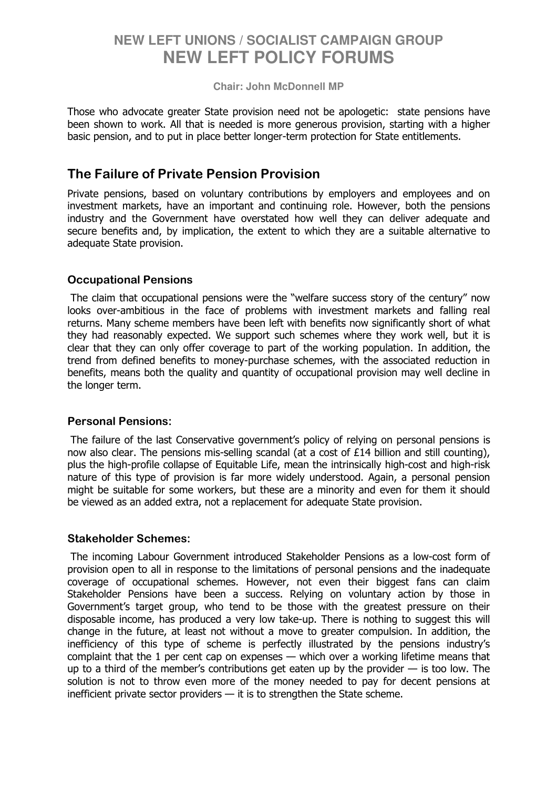#### **Chair: John McDonnell MP**

Those who advocate greater State provision need not be apologetic: state pensions have been shown to work. All that is needed is more generous provision, starting with a higher basic pension, and to put in place better longer-term protection for State entitlements.

### The Failure of Private Pension Provision

Private pensions, based on voluntary contributions by employers and employees and on investment markets, have an important and continuing role. However, both the pensions industry and the Government have overstated how well they can deliver adequate and secure benefits and, by implication, the extent to which they are a suitable alternative to adequate State provision.

#### Occupational Pensions

 The claim that occupational pensions were the "welfare success story of the century" now looks over-ambitious in the face of problems with investment markets and falling real returns. Many scheme members have been left with benefits now significantly short of what they had reasonably expected. We support such schemes where they work well, but it is clear that they can only offer coverage to part of the working population. In addition, the trend from defined benefits to money-purchase schemes, with the associated reduction in benefits, means both the quality and quantity of occupational provision may well decline in the longer term.

#### Personal Pensions:

 The failure of the last Conservative government's policy of relying on personal pensions is now also clear. The pensions mis-selling scandal (at a cost of £14 billion and still counting), plus the high-profile collapse of Equitable Life, mean the intrinsically high-cost and high-risk nature of this type of provision is far more widely understood. Again, a personal pension might be suitable for some workers, but these are a minority and even for them it should be viewed as an added extra, not a replacement for adequate State provision.

#### Stakeholder Schemes:

 The incoming Labour Government introduced Stakeholder Pensions as a low-cost form of provision open to all in response to the limitations of personal pensions and the inadequate coverage of occupational schemes. However, not even their biggest fans can claim Stakeholder Pensions have been a success. Relying on voluntary action by those in Government's target group, who tend to be those with the greatest pressure on their disposable income, has produced a very low take-up. There is nothing to suggest this will change in the future, at least not without a move to greater compulsion. In addition, the inefficiency of this type of scheme is perfectly illustrated by the pensions industry's complaint that the 1 per cent cap on expenses — which over a working lifetime means that up to a third of the member's contributions get eaten up by the provider  $-$  is too low. The solution is not to throw even more of the money needed to pay for decent pensions at inefficient private sector providers  $-$  it is to strengthen the State scheme.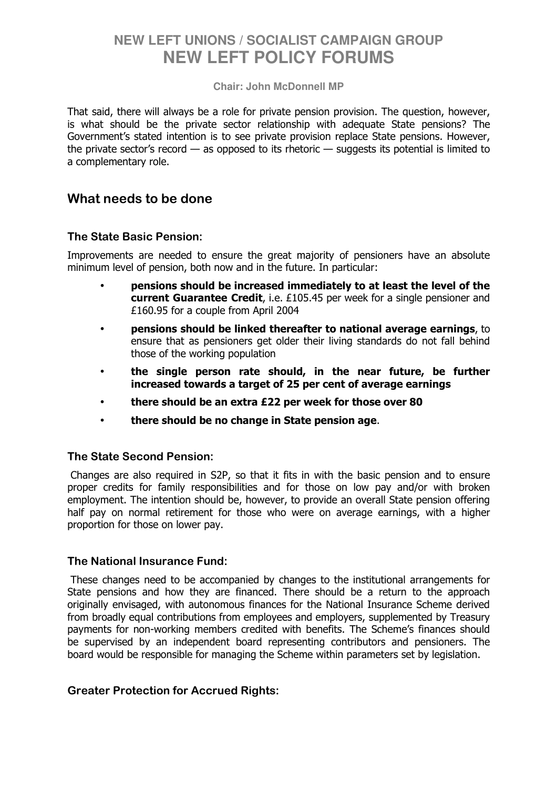#### **Chair: John McDonnell MP**

That said, there will always be a role for private pension provision. The question, however, is what should be the private sector relationship with adequate State pensions? The Government's stated intention is to see private provision replace State pensions. However, the private sector's record  $-$  as opposed to its rhetoric  $-$  suggests its potential is limited to a complementary role.

### What needs to be done

#### The State Basic Pension:

Improvements are needed to ensure the great majority of pensioners have an absolute minimum level of pension, both now and in the future. In particular:

- pensions should be increased immediately to at least the level of the current Guarantee Credit, i.e. £105.45 per week for a single pensioner and £160.95 for a couple from April 2004
- pensions should be linked thereafter to national average earnings, to ensure that as pensioners get older their living standards do not fall behind those of the working population
- the single person rate should, in the near future, be further increased towards a target of 25 per cent of average earnings
- there should be an extra £22 per week for those over 80
- there should be no change in State pension age.

#### The State Second Pension:

 Changes are also required in S2P, so that it fits in with the basic pension and to ensure proper credits for family responsibilities and for those on low pay and/or with broken employment. The intention should be, however, to provide an overall State pension offering half pay on normal retirement for those who were on average earnings, with a higher proportion for those on lower pay.

#### The National Insurance Fund:

 These changes need to be accompanied by changes to the institutional arrangements for State pensions and how they are financed. There should be a return to the approach originally envisaged, with autonomous finances for the National Insurance Scheme derived from broadly equal contributions from employees and employers, supplemented by Treasury payments for non-working members credited with benefits. The Scheme's finances should be supervised by an independent board representing contributors and pensioners. The board would be responsible for managing the Scheme within parameters set by legislation.

#### Greater Protection for Accrued Rights: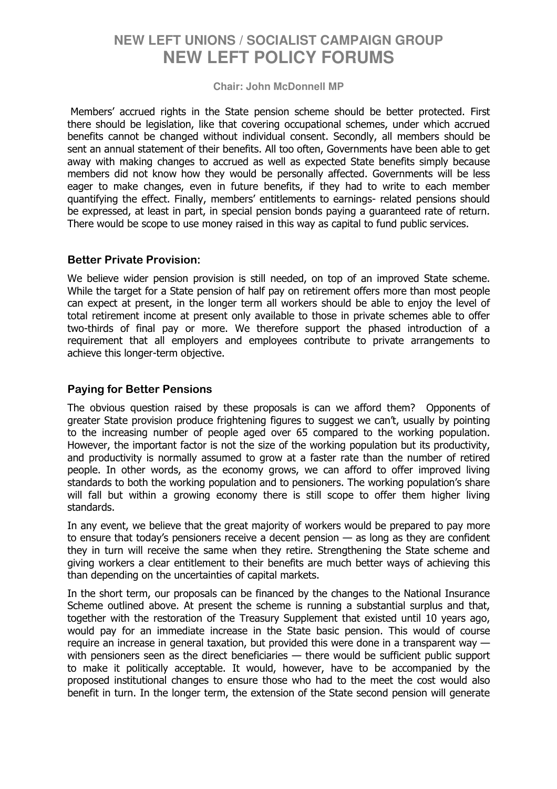#### **Chair: John McDonnell MP**

 Members' accrued rights in the State pension scheme should be better protected. First there should be legislation, like that covering occupational schemes, under which accrued benefits cannot be changed without individual consent. Secondly, all members should be sent an annual statement of their benefits. All too often, Governments have been able to get away with making changes to accrued as well as expected State benefits simply because members did not know how they would be personally affected. Governments will be less eager to make changes, even in future benefits, if they had to write to each member quantifying the effect. Finally, members' entitlements to earnings- related pensions should be expressed, at least in part, in special pension bonds paying a guaranteed rate of return. There would be scope to use money raised in this way as capital to fund public services.

#### Better Private Provision:

We believe wider pension provision is still needed, on top of an improved State scheme. While the target for a State pension of half pay on retirement offers more than most people can expect at present, in the longer term all workers should be able to enjoy the level of total retirement income at present only available to those in private schemes able to offer two-thirds of final pay or more. We therefore support the phased introduction of a requirement that all employers and employees contribute to private arrangements to achieve this longer-term objective.

### Paying for Better Pensions

The obvious question raised by these proposals is can we afford them? Opponents of greater State provision produce frightening figures to suggest we can't, usually by pointing to the increasing number of people aged over 65 compared to the working population. However, the important factor is not the size of the working population but its productivity, and productivity is normally assumed to grow at a faster rate than the number of retired people. In other words, as the economy grows, we can afford to offer improved living standards to both the working population and to pensioners. The working population's share will fall but within a growing economy there is still scope to offer them higher living standards.

In any event, we believe that the great majority of workers would be prepared to pay more to ensure that today's pensioners receive a decent pension  $-$  as long as they are confident they in turn will receive the same when they retire. Strengthening the State scheme and giving workers a clear entitlement to their benefits are much better ways of achieving this than depending on the uncertainties of capital markets.

In the short term, our proposals can be financed by the changes to the National Insurance Scheme outlined above. At present the scheme is running a substantial surplus and that, together with the restoration of the Treasury Supplement that existed until 10 years ago, would pay for an immediate increase in the State basic pension. This would of course require an increase in general taxation, but provided this were done in a transparent way with pensioners seen as the direct beneficiaries — there would be sufficient public support to make it politically acceptable. It would, however, have to be accompanied by the proposed institutional changes to ensure those who had to the meet the cost would also benefit in turn. In the longer term, the extension of the State second pension will generate